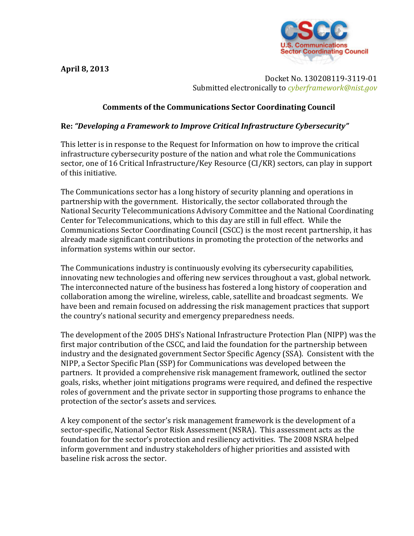**April 8, 2013**



Docket No. 130208119-3119-01 Submitted electronically to *[cyberframework@nist.gov](mailto:cyberframework@nist.gov)*

## **Comments of the Communications Sector Coordinating Council**

## **Re:** *"Developing a Framework to Improve Critical Infrastructure Cybersecurity"*

This letter is in response to the Request for Information on how to improve the critical infrastructure cybersecurity posture of the nation and what role the Communications sector, one of 16 Critical Infrastructure/Key Resource (CI/KR) sectors, can play in support of this initiative.

The Communications sector has a long history of security planning and operations in partnership with the government. Historically, the sector collaborated through the National Security Telecommunications Advisory Committee and the National Coordinating Center for Telecommunications, which to this day are still in full effect. While the Communications Sector Coordinating Council (CSCC) is the most recent partnership, it has already made significant contributions in promoting the protection of the networks and information systems within our sector.

The Communications industry is continuously evolving its cybersecurity capabilities, innovating new technologies and offering new services throughout a vast, global network. The interconnected nature of the business has fostered a long history of cooperation and collaboration among the wireline, wireless, cable, satellite and broadcast segments. We have been and remain focused on addressing the risk management practices that support the country's national security and emergency preparedness needs.

The development of the 2005 DHS's National Infrastructure Protection Plan (NIPP) was the first major contribution of the CSCC, and laid the foundation for the partnership between industry and the designated government Sector Specific Agency (SSA). Consistent with the NIPP, a Sector Specific Plan (SSP) for Communications was developed between the partners. It provided a comprehensive risk management framework, outlined the sector goals, risks, whether joint mitigations programs were required, and defined the respective roles of government and the private sector in supporting those programs to enhance the protection of the sector's assets and services.

A key component of the sector's risk management framework is the development of a sector-specific, National Sector Risk Assessment (NSRA). This assessment acts as the foundation for the sector's protection and resiliency activities. The 2008 NSRA helped inform government and industry stakeholders of higher priorities and assisted with baseline risk across the sector.